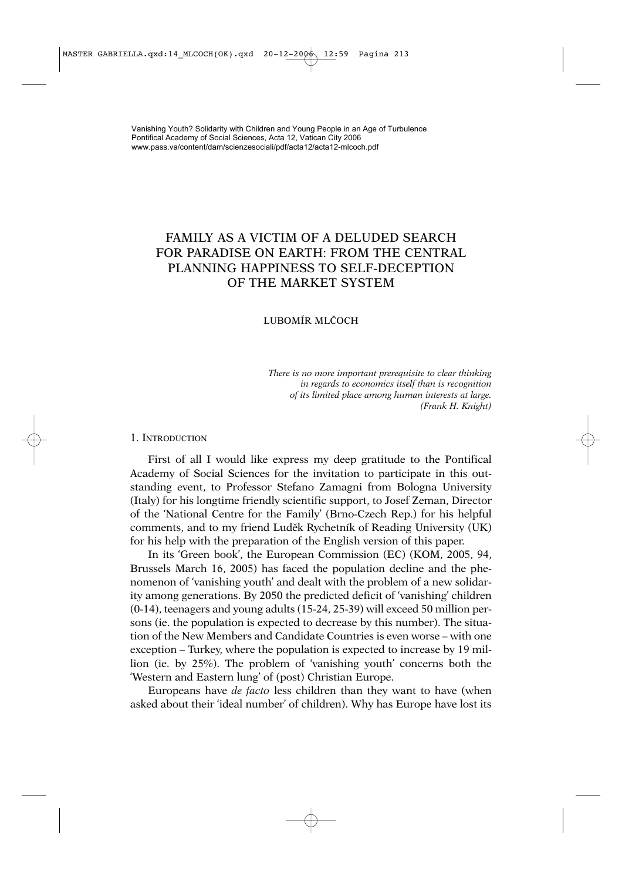Vanishing Youth? Solidarity with Children and Young People in an Age of Turbulence Pontifical Academy of Social Sciences, Acta 12, Vatican City 2006 www.pass.va/content/dam/scienzesociali/pdf/acta12/acta12-mlcoch.pdf

# FAMILY AS A VICTIM OF A DELUDED SEARCH FOR PARADISE ON EARTH: FROM THE CENTRAL PLANNING HAPPINESS TO SELF-DECEPTION OF THE MARKET SYSTEM

## LUBOMÍR MLČOCH

*There is no more important prerequisite to clear thinking in regards to economics itself than is recognition of its limited place among human interests at large. (Frank H. Knight)*

#### 1. INTRODUCTION

First of all I would like express my deep gratitude to the Pontifical Academy of Social Sciences for the invitation to participate in this outstanding event, to Professor Stefano Zamagni from Bologna University (Italy) for his longtime friendly scientific support, to Josef Zeman, Director of the 'National Centre for the Family' (Brno-Czech Rep.) for his helpful comments, and to my friend Luděk Rychetník of Reading University (UK) for his help with the preparation of the English version of this paper.

In its 'Green book', the European Commission (EC) (KOM, 2005, 94, Brussels March 16, 2005) has faced the population decline and the phenomenon of 'vanishing youth' and dealt with the problem of a new solidarity among generations. By 2050 the predicted deficit of 'vanishing' children (0-14), teenagers and young adults (15-24, 25-39) will exceed 50 million persons (ie. the population is expected to decrease by this number). The situation of the New Members and Candidate Countries is even worse – with one exception – Turkey, where the population is expected to increase by 19 million (ie. by 25%). The problem of 'vanishing youth' concerns both the 'Western and Eastern lung' of (post) Christian Europe.

Europeans have *de facto* less children than they want to have (when asked about their 'ideal number' of children). Why has Europe have lost its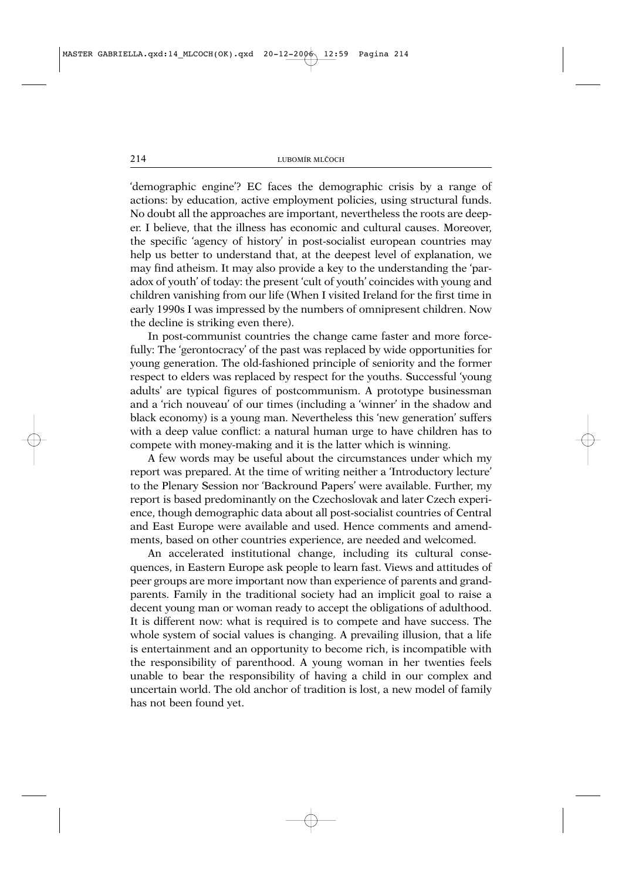'demographic engine'? EC faces the demographic crisis by a range of actions: by education, active employment policies, using structural funds. No doubt all the approaches are important, nevertheless the roots are deeper. I believe, that the illness has economic and cultural causes. Moreover, the specific 'agency of history' in post-socialist european countries may help us better to understand that, at the deepest level of explanation, we may find atheism. It may also provide a key to the understanding the 'paradox of youth' of today: the present 'cult of youth' coincides with young and children vanishing from our life (When I visited Ireland for the first time in early 1990s I was impressed by the numbers of omnipresent children. Now the decline is striking even there).

In post-communist countries the change came faster and more forcefully: The 'gerontocracy' of the past was replaced by wide opportunities for young generation. The old-fashioned principle of seniority and the former respect to elders was replaced by respect for the youths. Successful 'young adults' are typical figures of postcommunism. A prototype businessman and a 'rich nouveau' of our times (including a 'winner' in the shadow and black economy) is a young man. Nevertheless this 'new generation' suffers with a deep value conflict: a natural human urge to have children has to compete with money-making and it is the latter which is winning.

A few words may be useful about the circumstances under which my report was prepared. At the time of writing neither a 'Introductory lecture' to the Plenary Session nor 'Backround Papers' were available. Further, my report is based predominantly on the Czechoslovak and later Czech experience, though demographic data about all post-socialist countries of Central and East Europe were available and used. Hence comments and amendments, based on other countries experience, are needed and welcomed.

An accelerated institutional change, including its cultural consequences, in Eastern Europe ask people to learn fast. Views and attitudes of peer groups are more important now than experience of parents and grandparents. Family in the traditional society had an implicit goal to raise a decent young man or woman ready to accept the obligations of adulthood. It is different now: what is required is to compete and have success. The whole system of social values is changing. A prevailing illusion, that a life is entertainment and an opportunity to become rich, is incompatible with the responsibility of parenthood. A young woman in her twenties feels unable to bear the responsibility of having a child in our complex and uncertain world. The old anchor of tradition is lost, a new model of family has not been found yet.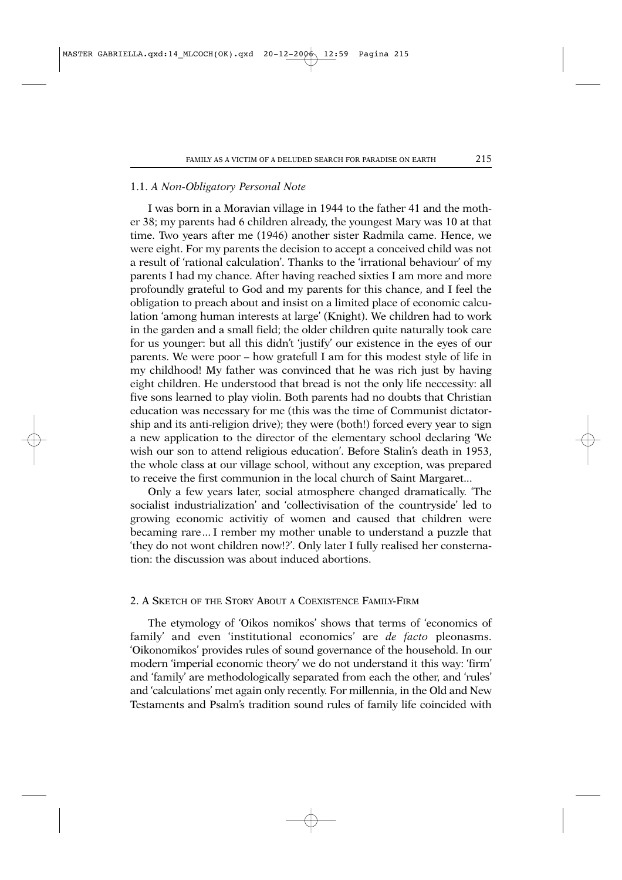#### 1.1. *A Non-Obligatory Personal Note*

I was born in a Moravian village in 1944 to the father 41 and the mother 38; my parents had 6 children already, the youngest Mary was 10 at that time. Two years after me (1946) another sister Radmila came. Hence, we were eight. For my parents the decision to accept a conceived child was not a result of 'rational calculation'. Thanks to the 'irrational behaviour' of my parents I had my chance. After having reached sixties I am more and more profoundly grateful to God and my parents for this chance, and I feel the obligation to preach about and insist on a limited place of economic calculation 'among human interests at large' (Knight). We children had to work in the garden and a small field; the older children quite naturally took care for us younger: but all this didn't 'justify' our existence in the eyes of our parents. We were poor – how gratefull I am for this modest style of life in my childhood! My father was convinced that he was rich just by having eight children. He understood that bread is not the only life neccessity: all five sons learned to play violin. Both parents had no doubts that Christian education was necessary for me (this was the time of Communist dictatorship and its anti-religion drive); they were (both!) forced every year to sign a new application to the director of the elementary school declaring 'We wish our son to attend religious education'. Before Stalin's death in 1953, the whole class at our village school, without any exception, was prepared to receive the first communion in the local church of Saint Margaret...

Only a few years later, social atmosphere changed dramatically. 'The socialist industrialization' and 'collectivisation of the countryside' led to growing economic activitiy of women and caused that children were becaming rare... I rember my mother unable to understand a puzzle that 'they do not wont children now!?'. Only later I fully realised her consternation: the discussion was about induced abortions.

# 2. A SKETCH OF THE STORY ABOUT A COEXISTENCE FAMILY-FIRM

The etymology of 'Oikos nomikos' shows that terms of 'economics of family' and even 'institutional economics' are *de facto* pleonasms. 'Oikonomikos' provides rules of sound governance of the household. In our modern 'imperial economic theory' we do not understand it this way: 'firm' and 'family' are methodologically separated from each the other, and 'rules' and 'calculations' met again only recently. For millennia, in the Old and New Testaments and Psalm's tradition sound rules of family life coincided with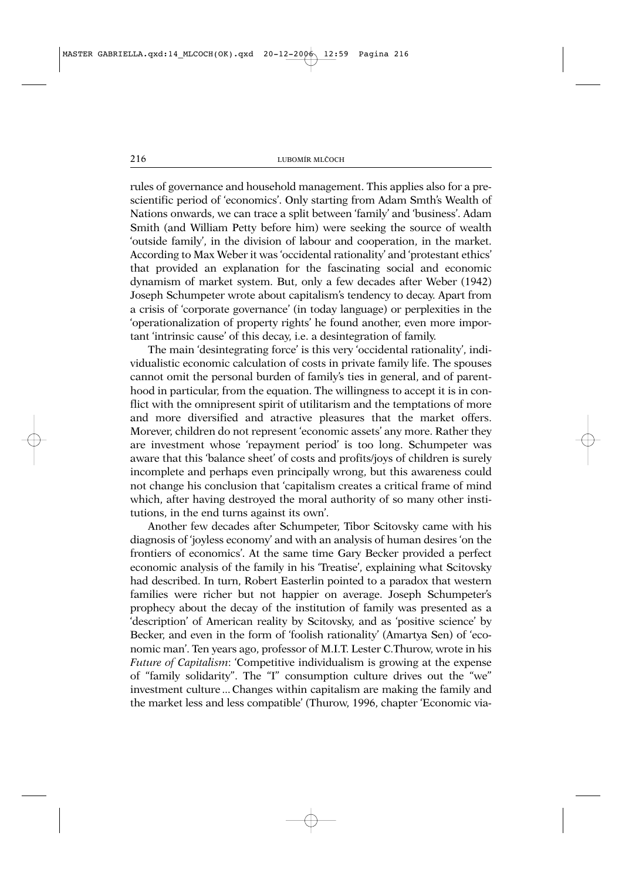rules of governance and household management. This applies also for a prescientific period of 'economics'. Only starting from Adam Smth's Wealth of Nations onwards, we can trace a split between 'family' and 'business'. Adam Smith (and William Petty before him) were seeking the source of wealth 'outside family', in the division of labour and cooperation, in the market. According to Max Weber it was 'occidental rationality' and 'protestant ethics' that provided an explanation for the fascinating social and economic dynamism of market system. But, only a few decades after Weber (1942) Joseph Schumpeter wrote about capitalism's tendency to decay. Apart from a crisis of 'corporate governance' (in today language) or perplexities in the 'operationalization of property rights' he found another, even more important 'intrinsic cause' of this decay, i.e. a desintegration of family.

The main 'desintegrating force' is this very 'occidental rationality', individualistic economic calculation of costs in private family life. The spouses cannot omit the personal burden of family's ties in general, and of parenthood in particular, from the equation. The willingness to accept it is in conflict with the omnipresent spirit of utilitarism and the temptations of more and more diversified and atractive pleasures that the market offers. Morever, children do not represent 'economic assets' any more. Rather they are investment whose 'repayment period' is too long. Schumpeter was aware that this 'balance sheet' of costs and profits/joys of children is surely incomplete and perhaps even principally wrong, but this awareness could not change his conclusion that 'capitalism creates a critical frame of mind which, after having destroyed the moral authority of so many other institutions, in the end turns against its own'.

Another few decades after Schumpeter, Tibor Scitovsky came with his diagnosis of 'joyless economy' and with an analysis of human desires 'on the frontiers of economics'. At the same time Gary Becker provided a perfect economic analysis of the family in his 'Treatise', explaining what Scitovsky had described. In turn, Robert Easterlin pointed to a paradox that western families were richer but not happier on average. Joseph Schumpeter's prophecy about the decay of the institution of family was presented as a 'description' of American reality by Scitovsky, and as 'positive science' by Becker, and even in the form of 'foolish rationality' (Amartya Sen) of 'economic man'. Ten years ago, professor of M.I.T. Lester C.Thurow, wrote in his *Future of Capitalism*: 'Competitive individualism is growing at the expense of "family solidarity". The "I" consumption culture drives out the "we" investment culture ... Changes within capitalism are making the family and the market less and less compatible' (Thurow, 1996, chapter 'Economic via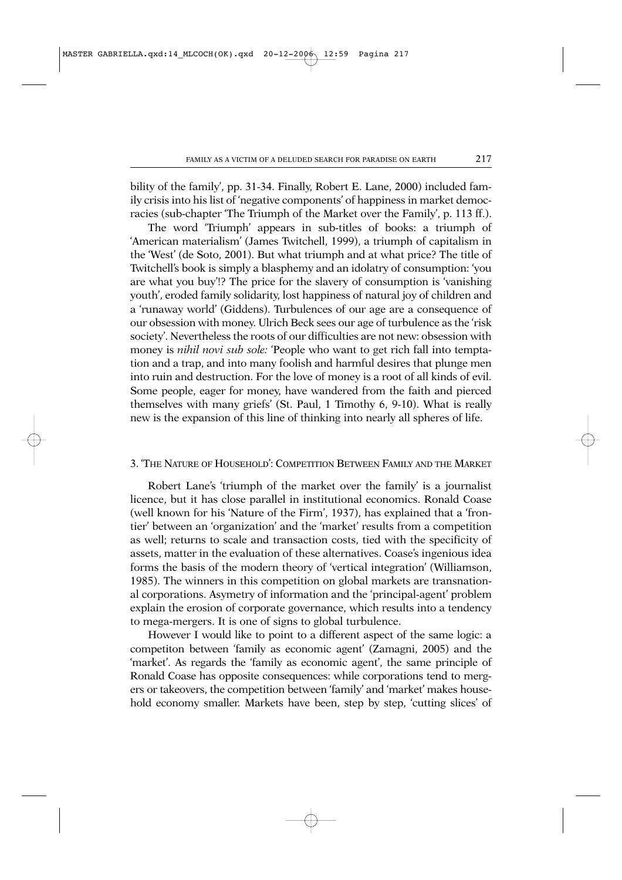bility of the family', pp. 31-34. Finally, Robert E. Lane, 2000) included family crisis into his list of 'negative components' of happiness in market democracies (sub-chapter 'The Triumph of the Market over the Family', p. 113 ff.).

The word 'Triumph' appears in sub-titles of books: a triumph of 'American materialism' (James Twitchell, 1999), a triumph of capitalism in the 'West' (de Soto, 2001). But what triumph and at what price? The title of Twitchell's book is simply a blasphemy and an idolatry of consumption: 'you are what you buy'!? The price for the slavery of consumption is 'vanishing youth', eroded family solidarity, lost happiness of natural joy of children and a 'runaway world' (Giddens). Turbulences of our age are a consequence of our obsession with money. Ulrich Beck sees our age of turbulence as the 'risk society'. Nevertheless the roots of our difficulties are not new: obsession with money is *nihil novi sub sole:* 'People who want to get rich fall into temptation and a trap, and into many foolish and harmful desires that plunge men into ruin and destruction. For the love of money is a root of all kinds of evil. Some people, eager for money, have wandered from the faith and pierced themselves with many griefs' (St. Paul, 1 Timothy 6, 9-10). What is really new is the expansion of this line of thinking into nearly all spheres of life.

#### 3. 'THE NATURE OF HOUSEHOLD': COMPETITION BETWEEN FAMILY AND THE MARKET

Robert Lane's 'triumph of the market over the family' is a journalist licence, but it has close parallel in institutional economics. Ronald Coase (well known for his 'Nature of the Firm', 1937), has explained that a 'frontier' between an 'organization' and the 'market' results from a competition as well; returns to scale and transaction costs, tied with the specificity of assets, matter in the evaluation of these alternatives. Coase's ingenious idea forms the basis of the modern theory of 'vertical integration' (Williamson, 1985). The winners in this competition on global markets are transnational corporations. Asymetry of information and the 'principal-agent' problem explain the erosion of corporate governance, which results into a tendency to mega-mergers. It is one of signs to global turbulence.

However I would like to point to a different aspect of the same logic: a competiton between 'family as economic agent' (Zamagni, 2005) and the 'market'. As regards the 'family as economic agent', the same principle of Ronald Coase has opposite consequences: while corporations tend to mergers or takeovers, the competition between 'family' and 'market' makes household economy smaller. Markets have been, step by step, 'cutting slices' of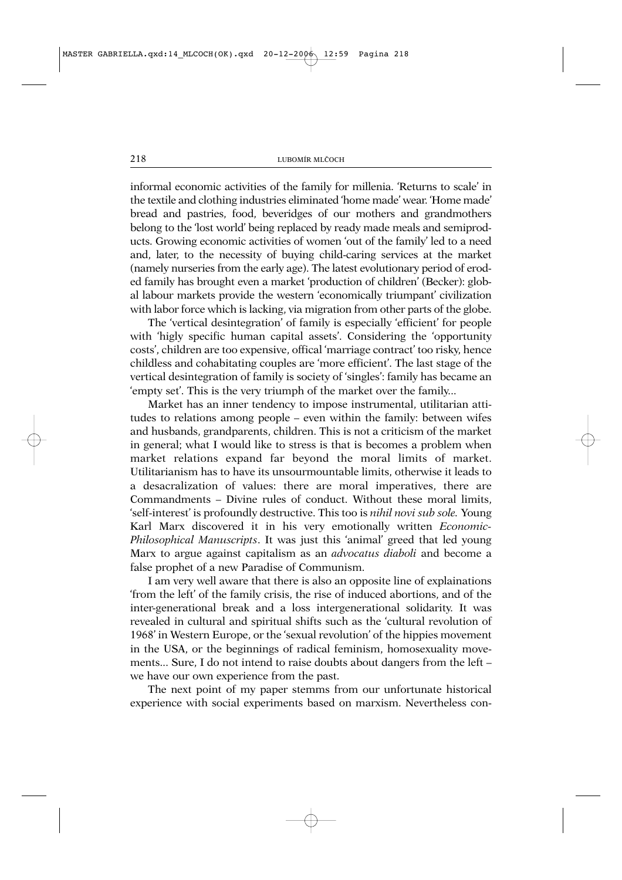informal economic activities of the family for millenia. 'Returns to scale' in the textile and clothing industries eliminated 'home made' wear. 'Home made' bread and pastries, food, beveridges of our mothers and grandmothers belong to the 'lost world' being replaced by ready made meals and semiproducts. Growing economic activities of women 'out of the family' led to a need and, later, to the necessity of buying child-caring services at the market (namely nurseries from the early age). The latest evolutionary period of eroded family has brought even a market 'production of children' (Becker): global labour markets provide the western 'economically triumpant' civilization with labor force which is lacking, via migration from other parts of the globe.

The 'vertical desintegration' of family is especially 'efficient' for people with 'higly specific human capital assets'. Considering the 'opportunity costs', children are too expensive, offical 'marriage contract' too risky, hence childless and cohabitating couples are 'more efficient'. The last stage of the vertical desintegration of family is society of 'singles': family has became an 'empty set'. This is the very triumph of the market over the family...

Market has an inner tendency to impose instrumental, utilitarian attitudes to relations among people – even within the family: between wifes and husbands, grandparents, children. This is not a criticism of the market in general; what I would like to stress is that is becomes a problem when market relations expand far beyond the moral limits of market. Utilitarianism has to have its unsourmountable limits, otherwise it leads to a desacralization of values: there are moral imperatives, there are Commandments – Divine rules of conduct. Without these moral limits, 'self-interest' is profoundly destructive. This too is *nihil novi sub sole.* Young Karl Marx discovered it in his very emotionally written *Economic-Philosophical Manuscripts*. It was just this 'animal' greed that led young Marx to argue against capitalism as an *advocatus diaboli* and become a false prophet of a new Paradise of Communism.

I am very well aware that there is also an opposite line of explainations 'from the left' of the family crisis, the rise of induced abortions, and of the inter-generational break and a loss intergenerational solidarity. It was revealed in cultural and spiritual shifts such as the 'cultural revolution of 1968' in Western Europe, or the 'sexual revolution' of the hippies movement in the USA, or the beginnings of radical feminism, homosexuality movements... Sure, I do not intend to raise doubts about dangers from the left – we have our own experience from the past.

The next point of my paper stemms from our unfortunate historical experience with social experiments based on marxism. Nevertheless con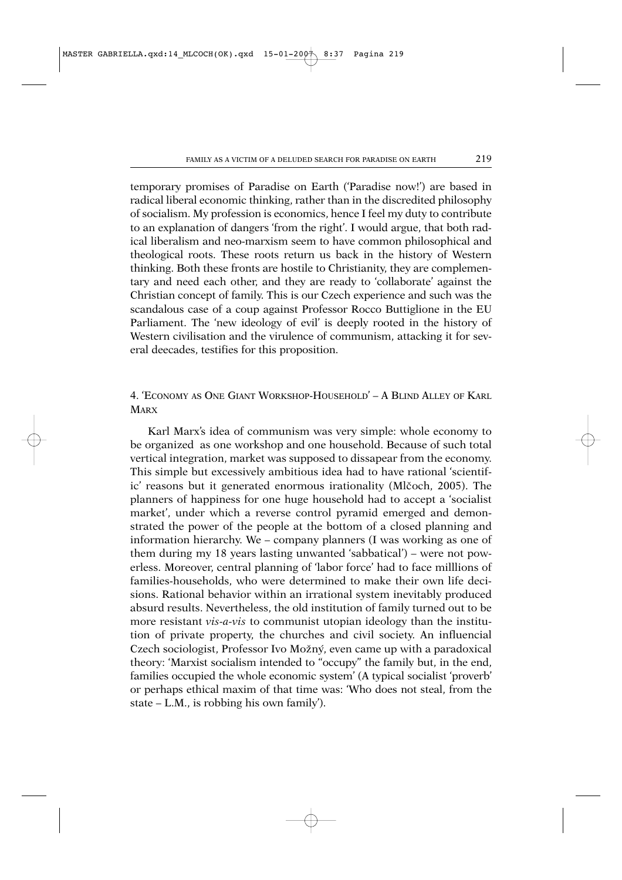temporary promises of Paradise on Earth ('Paradise now!') are based in radical liberal economic thinking, rather than in the discredited philosophy of socialism. My profession is economics, hence I feel my duty to contribute to an explanation of dangers 'from the right'. I would argue, that both radical liberalism and neo-marxism seem to have common philosophical and theological roots. These roots return us back in the history of Western thinking. Both these fronts are hostile to Christianity, they are complementary and need each other, and they are ready to 'collaborate' against the Christian concept of family. This is our Czech experience and such was the scandalous case of a coup against Professor Rocco Buttiglione in the EU Parliament. The 'new ideology of evil' is deeply rooted in the history of Western civilisation and the virulence of communism, attacking it for several deecades, testifies for this proposition.

# 4. 'ECONOMY AS ONE GIANT WORKSHOP-HOUSEHOLD' – A BLIND ALLEY OF KARL **MARX**

Karl Marx's idea of communism was very simple: whole economy to be organized as one workshop and one household. Because of such total vertical integration, market was supposed to dissapear from the economy. This simple but excessively ambitious idea had to have rational 'scientific' reasons but it generated enormous irationality (Mlčoch, 2005). The planners of happiness for one huge household had to accept a 'socialist market', under which a reverse control pyramid emerged and demonstrated the power of the people at the bottom of a closed planning and information hierarchy. We – company planners (I was working as one of them during my 18 years lasting unwanted 'sabbatical') – were not powerless. Moreover, central planning of 'labor force' had to face milllions of families-households, who were determined to make their own life decisions. Rational behavior within an irrational system inevitably produced absurd results. Nevertheless, the old institution of family turned out to be more resistant *vis-a-vis* to communist utopian ideology than the institution of private property, the churches and civil society. An influencial Czech sociologist, Professor Ivo Možný, even came up with a paradoxical theory: 'Marxist socialism intended to "occupy" the family but, in the end, families occupied the whole economic system' (A typical socialist 'proverb' or perhaps ethical maxim of that time was: 'Who does not steal, from the state – L.M., is robbing his own family').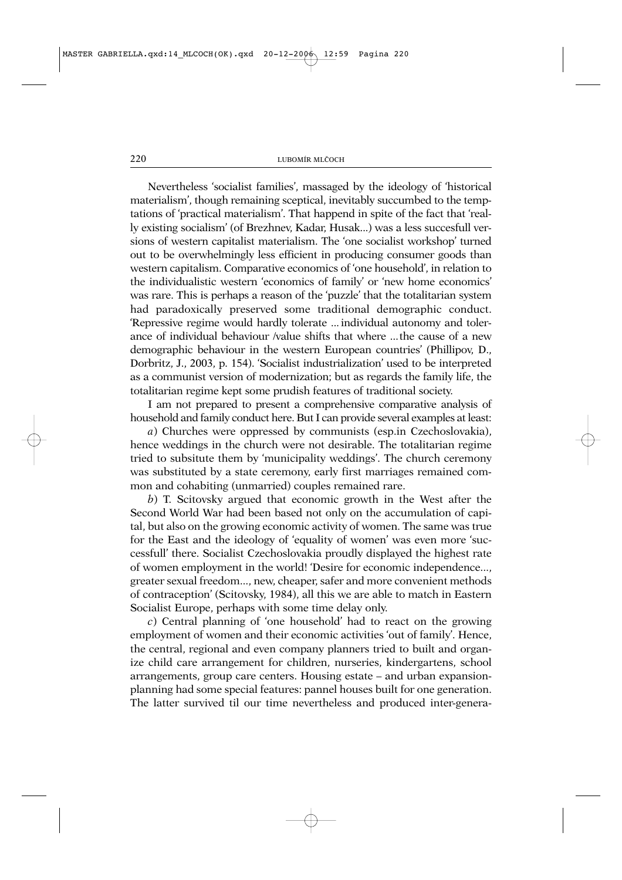Nevertheless 'socialist families', massaged by the ideology of 'historical materialism', though remaining sceptical, inevitably succumbed to the temptations of 'practical materialism'. That happend in spite of the fact that 'really existing socialism' (of Brezhnev, Kadar, Husak...) was a less succesfull versions of western capitalist materialism. The 'one socialist workshop' turned out to be overwhelmingly less efficient in producing consumer goods than western capitalism. Comparative economics of 'one household', in relation to the individualistic western 'economics of family' or 'new home economics' was rare. This is perhaps a reason of the 'puzzle' that the totalitarian system had paradoxically preserved some traditional demographic conduct. 'Repressive regime would hardly tolerate ... individual autonomy and tolerance of individual behaviour /value shifts that where ...the cause of a new demographic behaviour in the western European countries' (Phillipov, D., Dorbritz, J., 2003, p. 154). 'Socialist industrialization' used to be interpreted as a communist version of modernization; but as regards the family life, the totalitarian regime kept some prudish features of traditional society.

I am not prepared to present a comprehensive comparative analysis of household and family conduct here. But I can provide several examples at least:

*a*) Churches were oppressed by communists (esp.in Czechoslovakia), hence weddings in the church were not desirable. The totalitarian regime tried to subsitute them by 'municipality weddings'. The church ceremony was substituted by a state ceremony, early first marriages remained common and cohabiting (unmarried) couples remained rare.

*b*) T. Scitovsky argued that economic growth in the West after the Second World War had been based not only on the accumulation of capital, but also on the growing economic activity of women. The same was true for the East and the ideology of 'equality of women' was even more 'successfull' there. Socialist Czechoslovakia proudly displayed the highest rate of women employment in the world! 'Desire for economic independence..., greater sexual freedom..., new, cheaper, safer and more convenient methods of contraception' (Scitovsky, 1984), all this we are able to match in Eastern Socialist Europe, perhaps with some time delay only.

*c*) Central planning of 'one household' had to react on the growing employment of women and their economic activities 'out of family'. Hence, the central, regional and even company planners tried to built and organize child care arrangement for children, nurseries, kindergartens, school arrangements, group care centers. Housing estate – and urban expansionplanning had some special features: pannel houses built for one generation. The latter survived til our time nevertheless and produced inter-genera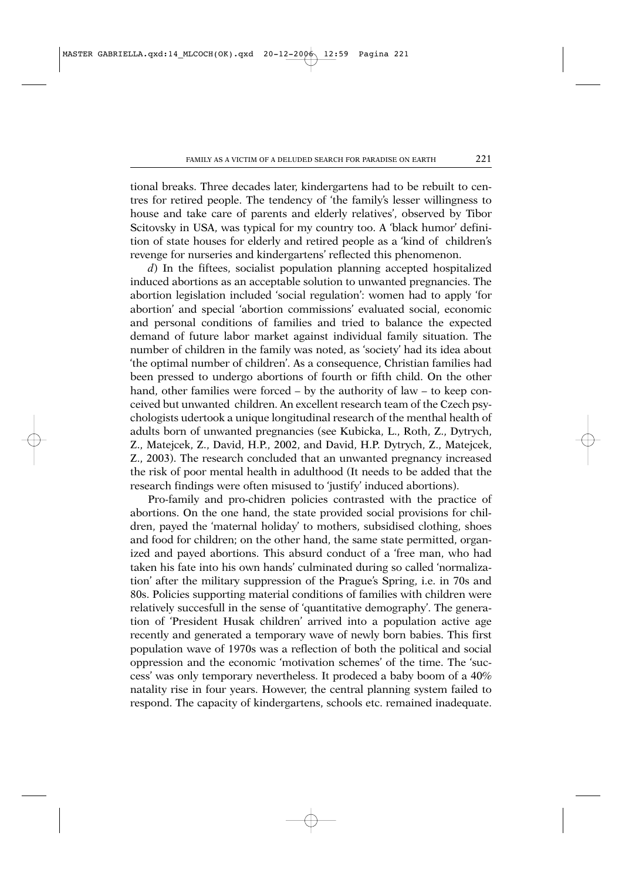tional breaks. Three decades later, kindergartens had to be rebuilt to centres for retired people. The tendency of 'the family's lesser willingness to house and take care of parents and elderly relatives', observed by Tibor Scitovsky in USA, was typical for my country too. A 'black humor' definition of state houses for elderly and retired people as a 'kind of children's revenge for nurseries and kindergartens' reflected this phenomenon.

*d*) In the fiftees, socialist population planning accepted hospitalized induced abortions as an acceptable solution to unwanted pregnancies. The abortion legislation included 'social regulation': women had to apply 'for abortion' and special 'abortion commissions' evaluated social, economic and personal conditions of families and tried to balance the expected demand of future labor market against individual family situation. The number of children in the family was noted, as 'society' had its idea about 'the optimal number of children'. As a consequence, Christian families had been pressed to undergo abortions of fourth or fifth child. On the other hand, other families were forced – by the authority of law – to keep conceived but unwanted children. An excellent research team of the Czech psychologists udertook a unique longitudinal research of the menthal health of adults born of unwanted pregnancies (see Kubicka, L., Roth, Z., Dytrych, Z., Matejcek, Z., David, H.P., 2002, and David, H.P. Dytrych, Z., Matejcek, Z., 2003). The research concluded that an unwanted pregnancy increased the risk of poor mental health in adulthood (It needs to be added that the research findings were often misused to 'justify' induced abortions).

Pro-family and pro-chidren policies contrasted with the practice of abortions. On the one hand, the state provided social provisions for children, payed the 'maternal holiday' to mothers, subsidised clothing, shoes and food for children; on the other hand, the same state permitted, organized and payed abortions. This absurd conduct of a 'free man, who had taken his fate into his own hands' culminated during so called 'normalization' after the military suppression of the Prague's Spring, i.e. in 70s and 80s. Policies supporting material conditions of families with children were relatively succesfull in the sense of 'quantitative demography'. The generation of 'President Husak children' arrived into a population active age recently and generated a temporary wave of newly born babies. This first population wave of 1970s was a reflection of both the political and social oppression and the economic 'motivation schemes' of the time. The 'success' was only temporary nevertheless. It prodeced a baby boom of a 40% natality rise in four years. However, the central planning system failed to respond. The capacity of kindergartens, schools etc. remained inadequate.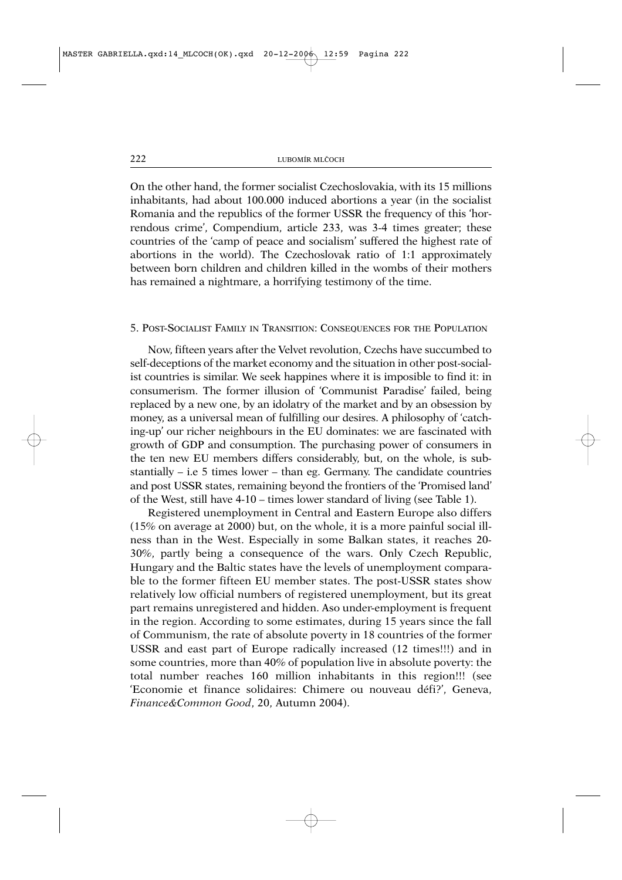On the other hand, the former socialist Czechoslovakia, with its 15 millions inhabitants, had about 100.000 induced abortions a year (in the socialist Romania and the republics of the former USSR the frequency of this 'horrendous crime', Compendium, article 233, was 3-4 times greater; these countries of the 'camp of peace and socialism' suffered the highest rate of abortions in the world). The Czechoslovak ratio of 1:1 approximately between born children and children killed in the wombs of their mothers has remained a nightmare, a horrifying testimony of the time.

#### 5. POST-SOCIALIST FAMILY IN TRANSITION: CONSEQUENCES FOR THE POPULATION

Now, fifteen years after the Velvet revolution, Czechs have succumbed to self-deceptions of the market economy and the situation in other post-socialist countries is similar. We seek happines where it is imposible to find it: in consumerism. The former illusion of 'Communist Paradise' failed, being replaced by a new one, by an idolatry of the market and by an obsession by money, as a universal mean of fulfilling our desires. A philosophy of 'catching-up' our richer neighbours in the EU dominates: we are fascinated with growth of GDP and consumption. The purchasing power of consumers in the ten new EU members differs considerably, but, on the whole, is substantially – i.e 5 times lower – than eg. Germany. The candidate countries and post USSR states, remaining beyond the frontiers of the 'Promised land' of the West, still have 4-10 – times lower standard of living (see Table 1).

Registered unemployment in Central and Eastern Europe also differs (15% on average at 2000) but, on the whole, it is a more painful social illness than in the West. Especially in some Balkan states, it reaches 20- 30%, partly being a consequence of the wars. Only Czech Republic, Hungary and the Baltic states have the levels of unemployment comparable to the former fifteen EU member states. The post-USSR states show relatively low official numbers of registered unemployment, but its great part remains unregistered and hidden. Aso under-employment is frequent in the region. According to some estimates, during 15 years since the fall of Communism, the rate of absolute poverty in 18 countries of the former USSR and east part of Europe radically increased (12 times!!!) and in some countries, more than 40% of population live in absolute poverty: the total number reaches 160 million inhabitants in this region!!! (see 'Economie et finance solidaires: Chimere ou nouveau défi?', Geneva, *Finance&Common Good*, 20, Autumn 2004).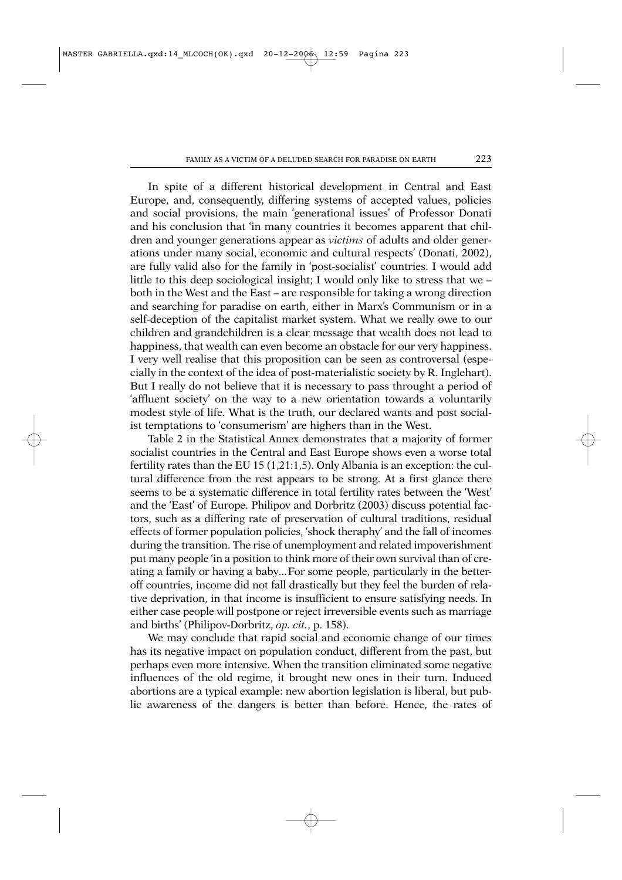In spite of a different historical development in Central and East Europe, and, consequently, differing systems of accepted values, policies and social provisions, the main 'generational issues' of Professor Donati and his conclusion that 'in many countries it becomes apparent that children and younger generations appear as *victims* of adults and older generations under many social, economic and cultural respects' (Donati, 2002), are fully valid also for the family in 'post-socialist' countries. I would add little to this deep sociological insight; I would only like to stress that we – both in the West and the East – are responsible for taking a wrong direction and searching for paradise on earth, either in Marx's Communism or in a self-deception of the capitalist market system. What we really owe to our children and grandchildren is a clear message that wealth does not lead to happiness, that wealth can even become an obstacle for our very happiness. I very well realise that this proposition can be seen as controversal (especially in the context of the idea of post-materialistic society by R. Inglehart). But I really do not believe that it is necessary to pass throught a period of 'affluent society' on the way to a new orientation towards a voluntarily modest style of life. What is the truth, our declared wants and post socialist temptations to 'consumerism' are highers than in the West.

Table 2 in the Statistical Annex demonstrates that a majority of former socialist countries in the Central and East Europe shows even a worse total fertility rates than the EU 15 (1,21:1,5). Only Albania is an exception: the cultural difference from the rest appears to be strong. At a first glance there seems to be a systematic difference in total fertility rates between the 'West' and the 'East' of Europe. Philipov and Dorbritz (2003) discuss potential factors, such as a differing rate of preservation of cultural traditions, residual effects of former population policies, 'shock theraphy' and the fall of incomes during the transition. The rise of unemployment and related impoverishment put many people 'in a position to think more of their own survival than of creating a family or having a baby...For some people, particularly in the betteroff countries, income did not fall drastically but they feel the burden of relative deprivation, in that income is insufficient to ensure satisfying needs. In either case people will postpone or reject irreversible events such as marriage and births' (Philipov-Dorbritz, *op. cit.*, p. 158).

We may conclude that rapid social and economic change of our times has its negative impact on population conduct, different from the past, but perhaps even more intensive. When the transition eliminated some negative influences of the old regime, it brought new ones in their turn. Induced abortions are a typical example: new abortion legislation is liberal, but public awareness of the dangers is better than before. Hence, the rates of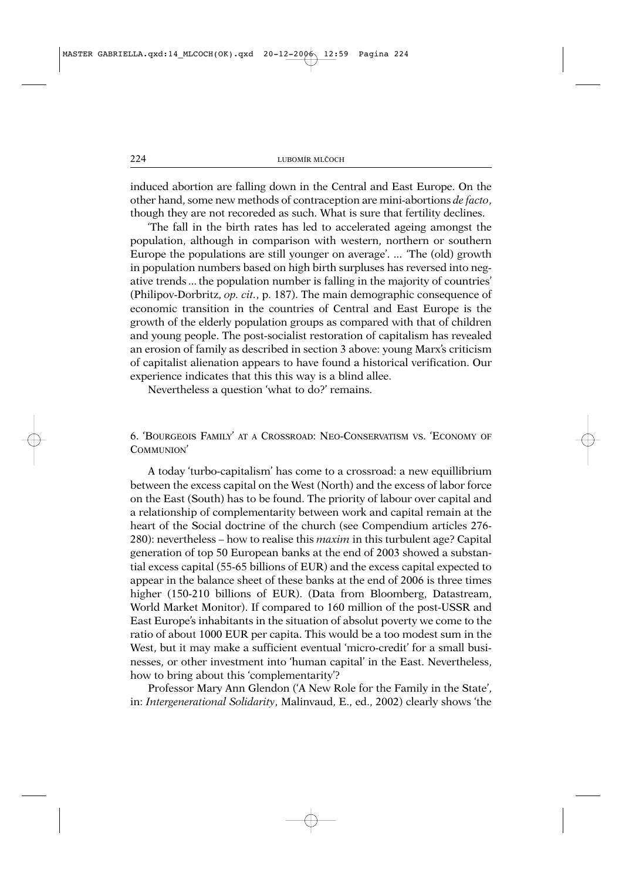induced abortion are falling down in the Central and East Europe. On the other hand, some new methods of contraception are mini-abortions *de facto*, though they are not recoreded as such. What is sure that fertility declines.

'The fall in the birth rates has led to accelerated ageing amongst the population, although in comparison with western, northern or southern Europe the populations are still younger on average'. ... 'The (old) growth in population numbers based on high birth surpluses has reversed into negative trends ... the population number is falling in the majority of countries' (Philipov-Dorbritz, *op. cit.*, p. 187). The main demographic consequence of economic transition in the countries of Central and East Europe is the growth of the elderly population groups as compared with that of children and young people. The post-socialist restoration of capitalism has revealed an erosion of family as described in section 3 above: young Marx's criticism of capitalist alienation appears to have found a historical verification. Our experience indicates that this this way is a blind allee.

Nevertheless a question 'what to do?' remains.

6. 'BOURGEOIS FAMILY' AT A CROSSROAD: NEO-CONSERVATISM VS. 'ECONOMY OF COMMUNION'

A today 'turbo-capitalism' has come to a crossroad: a new equillibrium between the excess capital on the West (North) and the excess of labor force on the East (South) has to be found. The priority of labour over capital and a relationship of complementarity between work and capital remain at the heart of the Social doctrine of the church (see Compendium articles 276- 280): nevertheless – how to realise this *maxim* in this turbulent age? Capital generation of top 50 European banks at the end of 2003 showed a substantial excess capital (55-65 billions of EUR) and the excess capital expected to appear in the balance sheet of these banks at the end of 2006 is three times higher (150-210 billions of EUR). (Data from Bloomberg, Datastream, World Market Monitor). If compared to 160 million of the post-USSR and East Europe's inhabitants in the situation of absolut poverty we come to the ratio of about 1000 EUR per capita. This would be a too modest sum in the West, but it may make a sufficient eventual 'micro-credit' for a small businesses, or other investment into 'human capital' in the East. Nevertheless, how to bring about this 'complementarity'?

Professor Mary Ann Glendon ('A New Role for the Family in the State', in: *Intergenerational Solidarity*, Malinvaud, E., ed., 2002) clearly shows 'the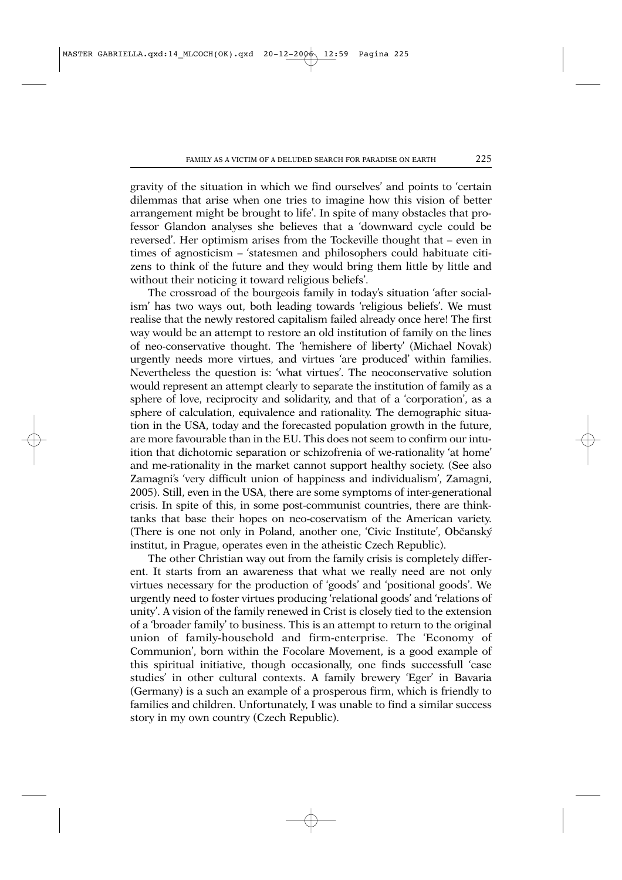gravity of the situation in which we find ourselves' and points to 'certain dilemmas that arise when one tries to imagine how this vision of better arrangement might be brought to life'. In spite of many obstacles that professor Glandon analyses she believes that a 'downward cycle could be reversed'. Her optimism arises from the Tockeville thought that – even in times of agnosticism – 'statesmen and philosophers could habituate citizens to think of the future and they would bring them little by little and without their noticing it toward religious beliefs'.

The crossroad of the bourgeois family in today's situation 'after socialism' has two ways out, both leading towards 'religious beliefs'. We must realise that the newly restored capitalism failed already once here! The first way would be an attempt to restore an old institution of family on the lines of neo-conservative thought. The 'hemishere of liberty' (Michael Novak) urgently needs more virtues, and virtues 'are produced' within families. Nevertheless the question is: 'what virtues'. The neoconservative solution would represent an attempt clearly to separate the institution of family as a sphere of love, reciprocity and solidarity, and that of a 'corporation', as a sphere of calculation, equivalence and rationality. The demographic situation in the USA, today and the forecasted population growth in the future, are more favourable than in the EU. This does not seem to confirm our intuition that dichotomic separation or schizofrenia of we-rationality 'at home' and me-rationality in the market cannot support healthy society. (See also Zamagni's 'very difficult union of happiness and individualism', Zamagni, 2005). Still, even in the USA, there are some symptoms of inter-generational crisis. In spite of this, in some post-communist countries, there are thinktanks that base their hopes on neo-coservatism of the American variety. (There is one not only in Poland, another one, 'Civic Institute', Občanský institut, in Prague, operates even in the atheistic Czech Republic).

The other Christian way out from the family crisis is completely different. It starts from an awareness that what we really need are not only virtues necessary for the production of 'goods' and 'positional goods'. We urgently need to foster virtues producing 'relational goods' and 'relations of unity'. A vision of the family renewed in Crist is closely tied to the extension of a 'broader family' to business. This is an attempt to return to the original union of family-household and firm-enterprise. The 'Economy of Communion', born within the Focolare Movement, is a good example of this spiritual initiative, though occasionally, one finds successfull 'case studies' in other cultural contexts. A family brewery 'Eger' in Bavaria (Germany) is a such an example of a prosperous firm, which is friendly to families and children. Unfortunately, I was unable to find a similar success story in my own country (Czech Republic).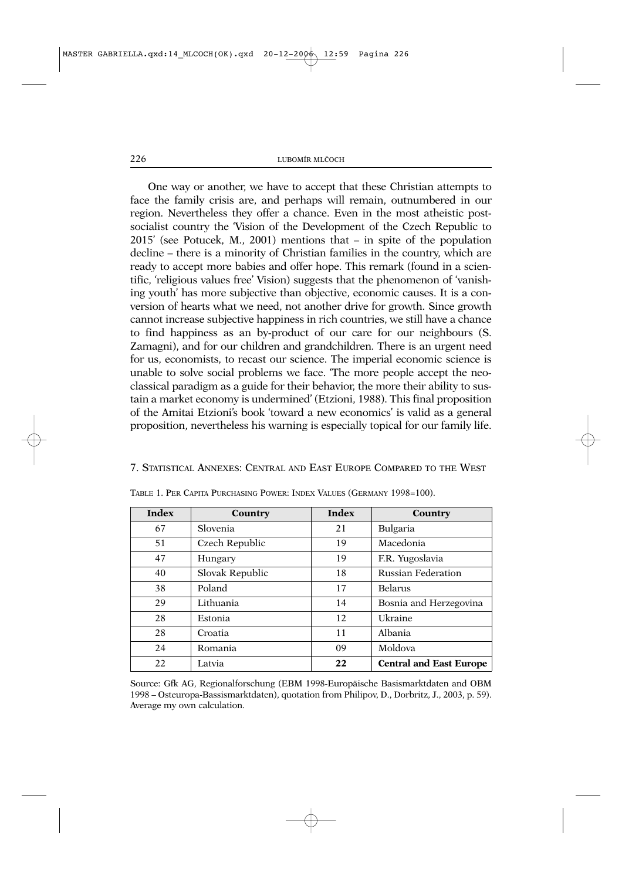One way or another, we have to accept that these Christian attempts to face the family crisis are, and perhaps will remain, outnumbered in our region. Nevertheless they offer a chance. Even in the most atheistic postsocialist country the 'Vision of the Development of the Czech Republic to 2015' (see Potucek, M., 2001) mentions that – in spite of the population decline – there is a minority of Christian families in the country, which are ready to accept more babies and offer hope. This remark (found in a scientific, 'religious values free' Vision) suggests that the phenomenon of 'vanishing youth' has more subjective than objective, economic causes. It is a conversion of hearts what we need, not another drive for growth. Since growth cannot increase subjective happiness in rich countries, we still have a chance to find happiness as an by-product of our care for our neighbours (S. Zamagni), and for our children and grandchildren. There is an urgent need for us, economists, to recast our science. The imperial economic science is unable to solve social problems we face. 'The more people accept the neoclassical paradigm as a guide for their behavior, the more their ability to sustain a market economy is undermined' (Etzioni, 1988). This final proposition of the Amitai Etzioni's book 'toward a new economics' is valid as a general proposition, nevertheless his warning is especially topical for our family life.

# 7. STATISTICAL ANNEXES: CENTRAL AND EAST EUROPE COMPARED TO THE WEST

| Index | Country         | Index | Country                        |
|-------|-----------------|-------|--------------------------------|
| 67    | Slovenia        | 21    | Bulgaria                       |
| 51    | Czech Republic  | 19    | Macedonia                      |
| 47    | Hungary         | 19    | F.R. Yugoslavia                |
| 40    | Slovak Republic | 18    | <b>Russian Federation</b>      |
| 38    | Poland          | 17    | Belarus                        |
| 29    | Lithuania       | 14    | Bosnia and Herzegovina         |
| 28    | Estonia         | 12    | Ukraine                        |
| 28    | Croatia         | 11    | Albania                        |
| 24    | Romania         | 09    | Moldova                        |
| 22    | Latvia          | 22    | <b>Central and East Europe</b> |

TABLE 1. PER CAPITA PURCHASING POWER: INDEX VALUES (GERMANY 1998=100).

Source: Gfk AG, Regionalforschung (EBM 1998-Europäische Basismarktdaten and OBM 1998 – Osteuropa-Bassismarktdaten), quotation from Philipov, D., Dorbritz, J., 2003, p. 59). Average my own calculation.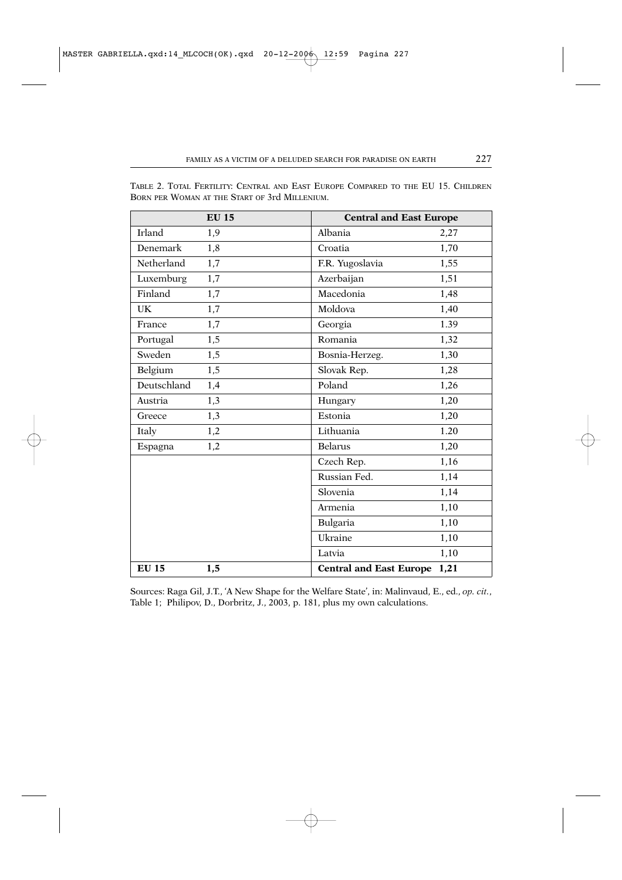|               | <b>EU 15</b> | <b>Central and East Europe</b> |      |
|---------------|--------------|--------------------------------|------|
| <b>Irland</b> | 1,9          | Albania                        | 2,27 |
| Denemark      | 1,8          | Croatia                        | 1,70 |
| Netherland    | 1,7          | F.R. Yugoslavia                | 1,55 |
| Luxemburg     | 1,7          | Azerbaijan                     | 1,51 |
| Finland       | 1,7          | Macedonia                      | 1,48 |
| UK.           | 1,7          | Moldova                        | 1,40 |
| France        | 1,7          | Georgia                        | 1.39 |
| Portugal      | 1,5          | Romania                        | 1,32 |
| Sweden        | 1,5          | Bosnia-Herzeg.                 | 1,30 |
| Belgium       | 1,5          | Slovak Rep.                    | 1,28 |
| Deutschland   | 1,4          | Poland                         | 1,26 |
| Austria       | 1,3          | Hungary                        | 1,20 |
| Greece        | 1,3          | Estonia                        | 1,20 |
| Italy         | 1,2          | Lithuania                      | 1.20 |
| Espagna       | 1,2          | <b>Belarus</b>                 | 1,20 |
|               |              | Czech Rep.                     | 1,16 |
|               |              | Russian Fed.                   | 1,14 |
|               |              | Slovenia                       | 1,14 |
|               |              | Armenia                        | 1,10 |
|               |              | Bulgaria                       | 1,10 |
|               |              | Ukraine                        | 1,10 |
|               |              | Latvia                         | 1,10 |
| <b>EU 15</b>  | 1,5          | <b>Central and East Europe</b> | 1,21 |

TABLE 2. TOTAL FERTILITY: CENTRAL AND EAST EUROPE COMPARED TO THE EU 15. CHILDREN BORN PER WOMAN AT THE START OF 3rd MILLENIUM.

Sources: Raga Gil, J.T., 'A New Shape for the Welfare State', in: Malinvaud, E., ed., *op. cit.*, Table 1; Philipov, D., Dorbritz, J., 2003, p. 181, plus my own calculations.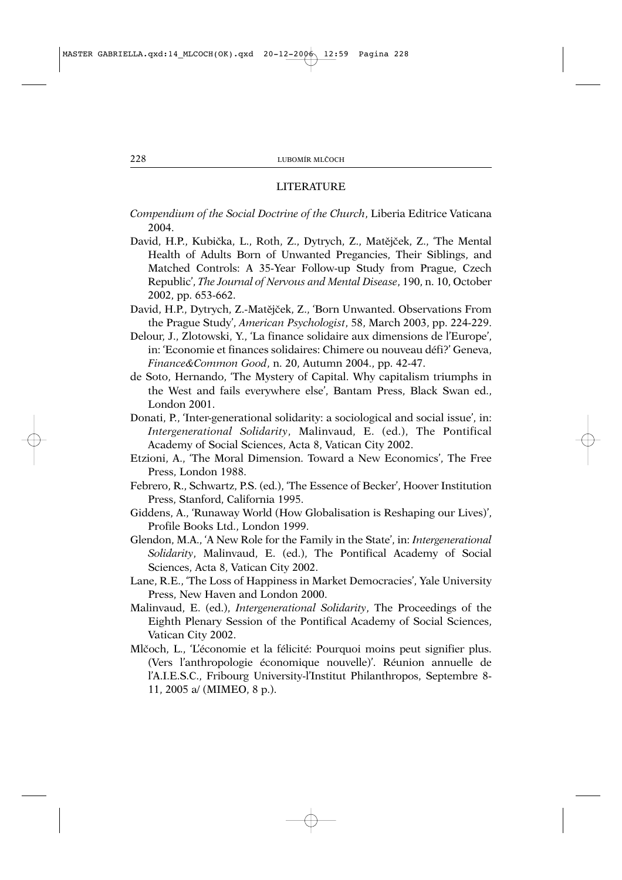#### LITERATURE

- *Compendium of the Social Doctrine of the Church*, Liberia Editrice Vaticana 2004.
- David, H.P., Kubička, L., Roth, Z., Dytrych, Z., Matějček, Z., 'The Mental Health of Adults Born of Unwanted Pregancies, Their Siblings, and Matched Controls: A 35-Year Follow-up Study from Prague, Czech Republic', *The Journal of Nervous and Mental Disease*, 190, n. 10, October 2002, pp. 653-662.
- David, H.P., Dytrych, Z.-Matějček, Z., 'Born Unwanted. Observations From the Prague Study', *American Psychologist*, 58, March 2003, pp. 224-229.
- Delour, J., Zlotowski, Y., 'La finance solidaire aux dimensions de l'Europe', in: 'Economie et finances solidaires: Chimere ou nouveau défi?' Geneva, *Finance&Common Good*, n. 20, Autumn 2004., pp. 42-47.
- de Soto, Hernando, 'The Mystery of Capital. Why capitalism triumphs in the West and fails everywhere else', Bantam Press, Black Swan ed., London 2001.
- Donati, P., 'Inter-generational solidarity: a sociological and social issue', in: *Intergenerational Solidarity*, Malinvaud, E. (ed.), The Pontifical Academy of Social Sciences, Acta 8, Vatican City 2002.
- Etzioni, A., 'The Moral Dimension. Toward a New Economics', The Free Press, London 1988.
- Febrero, R., Schwartz, P.S. (ed.), 'The Essence of Becker', Hoover Institution Press, Stanford, California 1995.
- Giddens, A., 'Runaway World (How Globalisation is Reshaping our Lives)', Profile Books Ltd., London 1999.
- Glendon, M.A., 'A New Role for the Family in the State', in: *Intergenerational Solidarity*, Malinvaud, E. (ed.), The Pontifical Academy of Social Sciences, Acta 8, Vatican City 2002.
- Lane, R.E., 'The Loss of Happiness in Market Democracies', Yale University Press, New Haven and London 2000.
- Malinvaud, E. (ed.), *Intergenerational Solidarity*, The Proceedings of the Eighth Plenary Session of the Pontifical Academy of Social Sciences, Vatican City 2002.
- Mlčoch, L., 'L'économie et la félicité: Pourquoi moins peut signifier plus. (Vers l'anthropologie économique nouvelle)'. Réunion annuelle de l'A.I.E.S.C., Fribourg University-l'Institut Philanthropos, Septembre 8- 11, 2005 a/ (MIMEO, 8 p.).